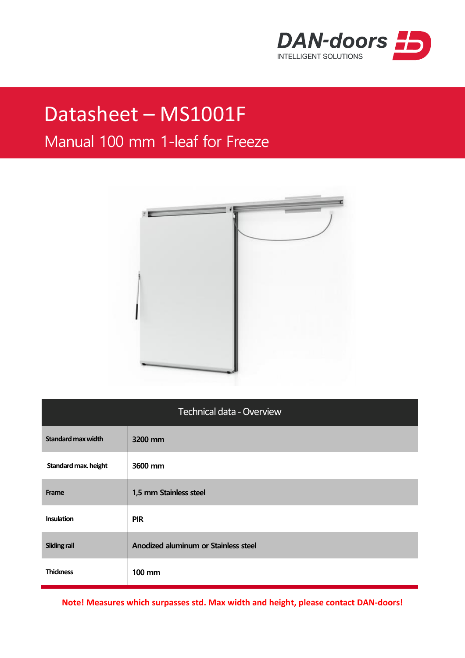

## Datasheet – MS1001F

## Manual 100 mm 1-leaf for Freeze



| <b>Technical data - Overview</b> |                                      |  |
|----------------------------------|--------------------------------------|--|
| <b>Standard max width</b>        | 3200 mm                              |  |
| Standard max. height             | 3600 mm                              |  |
| Frame                            | 1,5 mm Stainless steel               |  |
| <b>Insulation</b>                | <b>PIR</b>                           |  |
| <b>Sliding rail</b>              | Anodized aluminum or Stainless steel |  |
| <b>Thickness</b>                 | <b>100 mm</b>                        |  |

**Note! Measures which surpasses std. Max width and height, please contact DAN-doors!**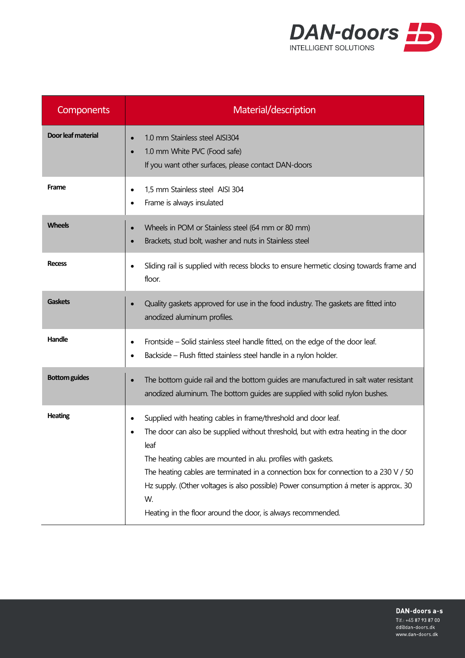

| <b>Components</b>    | Material/description                                                                                                                                                                                                                                                                                                                                                                                                                                                                |
|----------------------|-------------------------------------------------------------------------------------------------------------------------------------------------------------------------------------------------------------------------------------------------------------------------------------------------------------------------------------------------------------------------------------------------------------------------------------------------------------------------------------|
| Door leaf material   | 1.0 mm Stainless steel AISI304<br>1.0 mm White PVC (Food safe)<br>If you want other surfaces, please contact DAN-doors                                                                                                                                                                                                                                                                                                                                                              |
| Frame                | 1,5 mm Stainless steel AISI 304<br>Frame is always insulated                                                                                                                                                                                                                                                                                                                                                                                                                        |
| <b>Wheels</b>        | Wheels in POM or Stainless steel (64 mm or 80 mm)<br>Brackets, stud bolt, washer and nuts in Stainless steel                                                                                                                                                                                                                                                                                                                                                                        |
| <b>Recess</b>        | Sliding rail is supplied with recess blocks to ensure hermetic dosing towards frame and<br>floor.                                                                                                                                                                                                                                                                                                                                                                                   |
| <b>Gaskets</b>       | Quality gaskets approved for use in the food industry. The gaskets are fitted into<br>anodized aluminum profiles.                                                                                                                                                                                                                                                                                                                                                                   |
| Handle               | Frontside – Solid stainless steel handle fitted, on the edge of the door leaf.<br>Backside - Flush fitted stainless steel handle in a nylon holder.<br>٠                                                                                                                                                                                                                                                                                                                            |
| <b>Bottom guides</b> | The bottom guide rail and the bottom guides are manufactured in salt water resistant<br>anodized aluminum. The bottom guides are supplied with solid nylon bushes.                                                                                                                                                                                                                                                                                                                  |
| <b>Heating</b>       | Supplied with heating cables in frame/threshold and door leaf.<br>The door can also be supplied without threshold, but with extra heating in the door<br>leaf<br>The heating cables are mounted in alu. profiles with gaskets.<br>The heating cables are terminated in a connection box for connection to a 230 V / 50<br>Hz supply. (Other voltages is also possible) Power consumption á meter is approx 30<br>W.<br>Heating in the floor around the door, is always recommended. |

DAN-doors a-s Tlf.: +45 87 93 87 00 dd@dan-doors.dk

www.dan-doors.dk